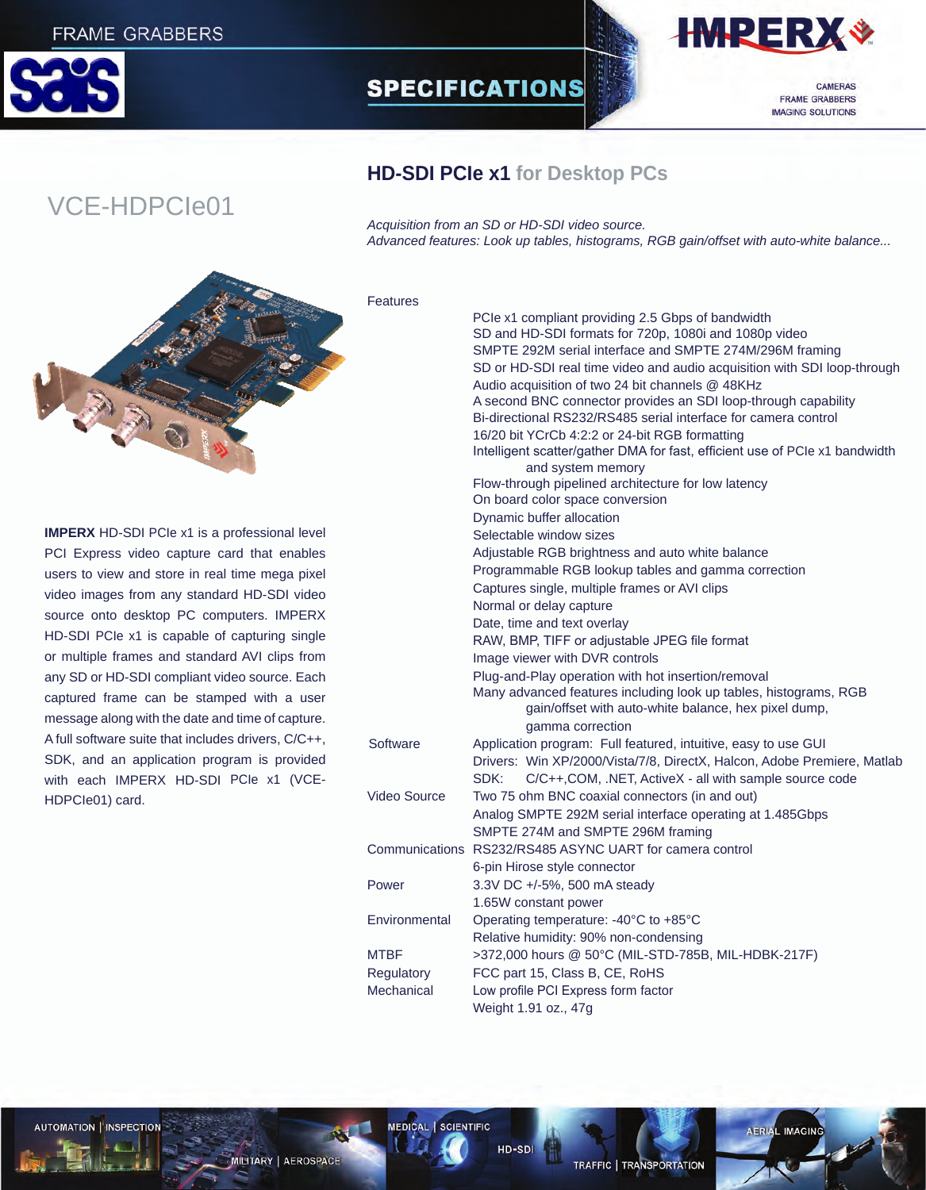



CAMERAS **FRAME GRABBERS IMAGING SOLUTIONS** 

## **HD-SDI PCIe x1 for Desktop PCs**

**SPECIFICATIONS** 

*Acquisition from an SD or HD-SDI video source. Advanced features: Look up tables, histograms, RGB gain/offset with auto-white balance...*

Features



VCE-HDPCIe01



**IMPERX** HD-SDI PCIe x1 is a professional level PCI Express video capture card that enables users to view and store in real time mega pixel video images from any standard HD-SDI video source onto desktop PC computers. IMPERX HD-SDI PCIe x1 is capable of capturing single or multiple frames and standard AVI clips from any SD or HD-SDI compliant video source. Each captured frame can be stamped with a user message along with the date and time of capture. A full software suite that includes drivers, C/C++, SDK, and an application program is provided with each IMPERX HD-SDI PCIe x1 (VCE-HDPCIe01) card.

**AUTOMATION | INSPECTION** 

MILITARY | AEROSPACE

**MEDICAL | SCIENTIFIC** 

 $H<sub>D</sub>$ **TRAFFIC | TRANSPORTATION**  AERIAL IMAG